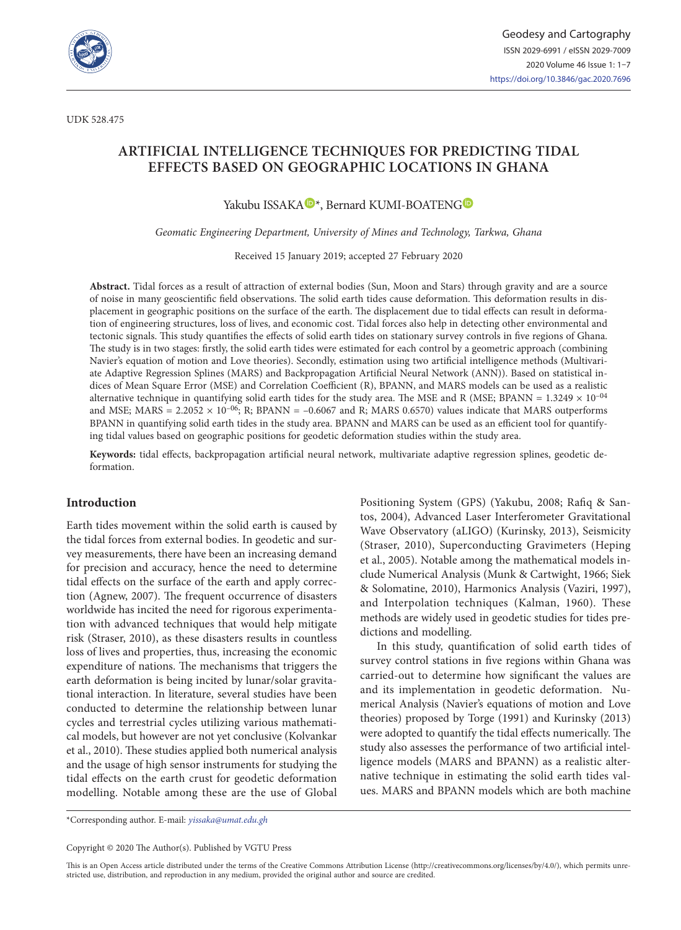

# **ARTIFICIAL INTELLIGENCE TECHNIQUES FOR PREDICTING TIDAL EFFECTS BASED ON GEOGRAPHIC LOCATIONS IN GHANA**

Yakubu ISSAKA<sup>D\*</sup>, Bernard KUMI-BOATENG<sup>D</sup>

*Geomatic Engineering Department, University of Mines and Technology, Tarkwa, Ghana*

Received 15 January 2019; accepted 27 February 2020

**Abstract.** Tidal forces as a result of attraction of external bodies (Sun, Moon and Stars) through gravity and are a source of noise in many geoscientific field observations. The solid earth tides cause deformation. This deformation results in displacement in geographic positions on the surface of the earth. The displacement due to tidal effects can result in deformation of engineering structures, loss of lives, and economic cost. Tidal forces also help in detecting other environmental and tectonic signals. This study quantifies the effects of solid earth tides on stationary survey controls in five regions of Ghana. The study is in two stages: firstly, the solid earth tides were estimated for each control by a geometric approach (combining Navier's equation of motion and Love theories). Secondly, estimation using two artificial intelligence methods (Multivariate Adaptive Regression Splines (MARS) and Backpropagation Artificial Neural Network (ANN)). Based on statistical indices of Mean Square Error (MSE) and Correlation Coefficient (R), BPANN, and MARS models can be used as a realistic alternative technique in quantifying solid earth tides for the study area. The MSE and R (MSE; BPANN =  $1.3249 \times 10^{-04}$ and MSE; MARS =  $2.2052 \times 10^{-06}$ ; R; BPANN = -0.6067 and R; MARS 0.6570) values indicate that MARS outperforms BPANN in quantifying solid earth tides in the study area. BPANN and MARS can be used as an efficient tool for quantifying tidal values based on geographic positions for geodetic deformation studies within the study area.

**Keywords:** tidal effects, backpropagation artificial neural network, multivariate adaptive regression splines, geodetic deformation.

### **Introduction**

Earth tides movement within the solid earth is caused by the tidal forces from external bodies. In geodetic and survey measurements, there have been an increasing demand for precision and accuracy, hence the need to determine tidal effects on the surface of the earth and apply correction (Agnew, 2007). The frequent occurrence of disasters worldwide has incited the need for rigorous experimentation with advanced techniques that would help mitigate risk (Straser, 2010), as these disasters results in countless loss of lives and properties, thus, increasing the economic expenditure of nations. The mechanisms that triggers the earth deformation is being incited by lunar/solar gravitational interaction. In literature, several studies have been conducted to determine the relationship between lunar cycles and terrestrial cycles utilizing various mathematical models, but however are not yet conclusive (Kolvankar et al., 2010). These studies applied both numerical analysis and the usage of high sensor instruments for studying the tidal effects on the earth crust for geodetic deformation modelling. Notable among these are the use of Global Positioning System (GPS) (Yakubu, 2008; Rafiq & Santos, 2004), Advanced Laser Interferometer Gravitational Wave Observatory (aLIGO) (Kurinsky, 2013), Seismicity (Straser, 2010), Superconducting Gravimeters (Heping et al., 2005). Notable among the mathematical models include Numerical Analysis (Munk & Cartwight, 1966; Siek & Solomatine, 2010), Harmonics Analysis (Vaziri, 1997), and Interpolation techniques (Kalman, 1960). These methods are widely used in geodetic studies for tides predictions and modelling.

In this study, quantification of solid earth tides of survey control stations in five regions within Ghana was carried-out to determine how significant the values are and its implementation in geodetic deformation. Numerical Analysis (Navier's equations of motion and Love theories) proposed by Torge (1991) and Kurinsky (2013) were adopted to quantify the tidal effects numerically. The study also assesses the performance of two artificial intelligence models (MARS and BPANN) as a realistic alternative technique in estimating the solid earth tides values. MARS and BPANN models which are both machine

\*Corresponding author. E-mail: *yissaka@umat.edu.gh*

Copyright © 2020 The Author(s). Published by VGTU Press

This is an Open Access article distributed under the terms of the Creative Commons Attribution License (<http://creativecommons.org/licenses/by/4.0/>), which permits unrestricted use, distribution, and reproduction in any medium, provided the original author and source are credited.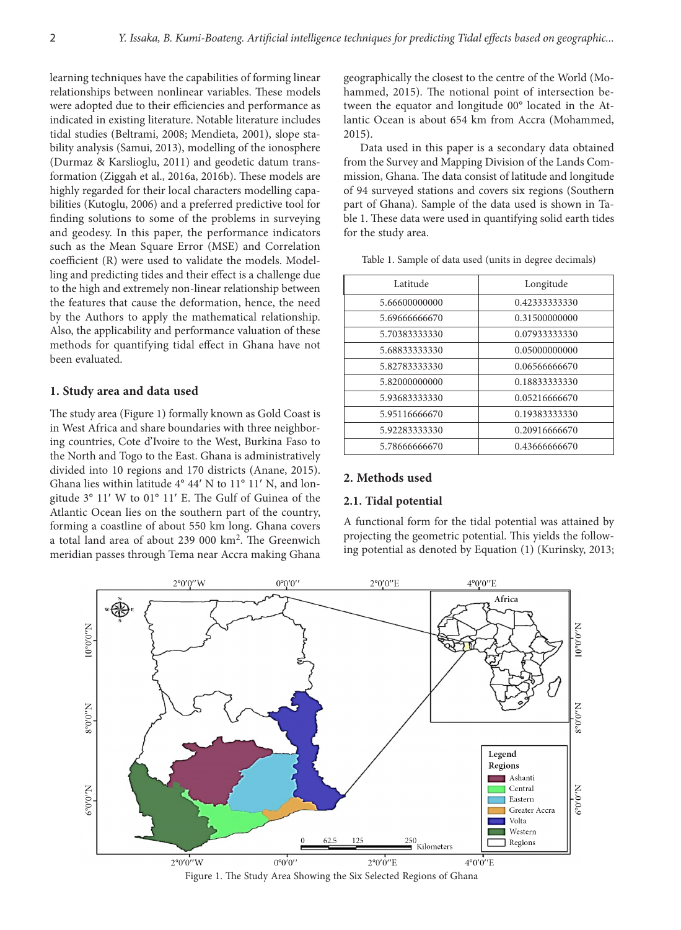learning techniques have the capabilities of forming linear relationships between nonlinear variables. These models were adopted due to their efficiencies and performance as indicated in existing literature. Notable literature includes tidal studies (Beltrami, 2008; Mendieta, 2001), slope stability analysis (Samui, 2013), modelling of the ionosphere (Durmaz & Karslioglu, 2011) and geodetic datum transformation (Ziggah et al., 2016a, 2016b). These models are highly regarded for their local characters modelling capabilities (Kutoglu, 2006) and a preferred predictive tool for finding solutions to some of the problems in surveying and geodesy. In this paper, the performance indicators such as the Mean Square Error (MSE) and Correlation coefficient (R) were used to validate the models. Modelling and predicting tides and their effect is a challenge due to the high and extremely non-linear relationship between the features that cause the deformation, hence, the need by the Authors to apply the mathematical relationship. Also, the applicability and performance valuation of these methods for quantifying tidal effect in Ghana have not been evaluated.

# **1. Study area and data used**

The study area (Figure 1) formally known as Gold Coast is in West Africa and share boundaries with three neighboring countries, Cote d'Ivoire to the West, Burkina Faso to the North and Togo to the East. Ghana is administratively divided into 10 regions and 170 districts (Anane, 2015). Ghana lies within latitude 4° 44′ N to 11° 11′ N, and longitude 3° 11′ W to 01° 11′ E. The Gulf of Guinea of the Atlantic Ocean lies on the southern part of the country, forming a coastline of about 550 km long. Ghana covers a total land area of about 239 000 km2. The Greenwich meridian passes through Tema near Accra making Ghana

geographically the closest to the centre of the World (Mohammed, 2015). The notional point of intersection between the equator and longitude 00° located in the Atlantic Ocean is about 654 km from Accra (Mohammed, 2015).

Data used in this paper is a secondary data obtained from the Survey and Mapping Division of the Lands Commission, Ghana. The data consist of latitude and longitude of 94 surveyed stations and covers six regions (Southern part of Ghana). Sample of the data used is shown in Table 1. These data were used in quantifying solid earth tides for the study area.

| Latitude      | Longitude     |  |  |
|---------------|---------------|--|--|
| 5.66600000000 | 0.42333333330 |  |  |
| 5.69666666670 | 0.31500000000 |  |  |
| 5.70383333330 | 0.07933333330 |  |  |
| 5.68833333330 | 0.05000000000 |  |  |
| 5.82783333330 | 0.06566666670 |  |  |
| 5.82000000000 | 0.18833333330 |  |  |
| 5.93683333330 | 0.05216666670 |  |  |
| 5.95116666670 | 0.19383333330 |  |  |
| 5.92283333330 | 0.20916666670 |  |  |
| 5.78666666670 | 0.43666666670 |  |  |

Table 1. Sample of data used (units in degree decimals)

### **2. Methods used**

#### **2.1. Tidal potential**

A functional form for the tidal potential was attained by projecting the geometric potential. This yields the following potential as denoted by Equation (1) (Kurinsky, 2013;



Figure 1. The Study Area Showing the Six Selected Regions of Ghana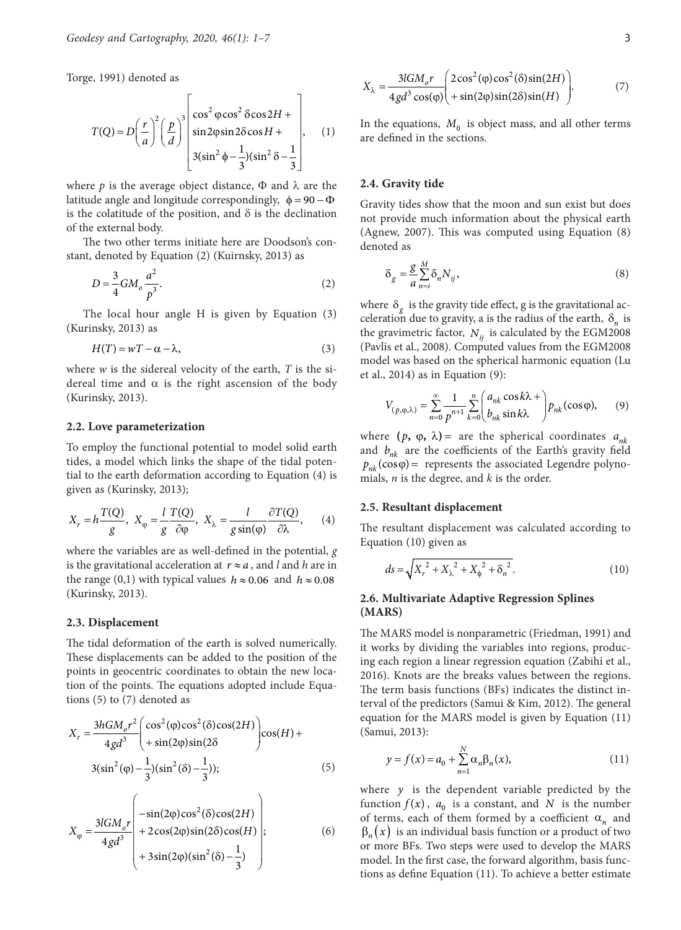Torge, 1991) denoted as

$$
T(Q) = D\left(\frac{r}{a}\right)^2 \left(\frac{p}{d}\right)^3 \begin{bmatrix} \cos^2 \phi \cos^2 \delta \cos 2H + \\ \sin 2\phi \sin 2\delta \cos H + \\ 3(\sin^2 \phi - \frac{1}{3})(\sin^2 \delta - \frac{1}{3}) \end{bmatrix}, \quad (1)
$$

where  $p$  is the average object distance,  $\Phi$  and  $\lambda$  are the latitude angle and longitude correspondingly,  $\phi = 90 - \Phi$ is the colatitude of the position, and  $\delta$  is the declination of the external body.

The two other terms initiate here are Doodson's constant, denoted by Equation (2) (Kuirnsky, 2013) as

$$
D = \frac{3}{4}GM_o \frac{a^2}{p^3}.\tag{2}
$$

The local hour angle H is given by Equation (3) (Kurinsky, 2013) as

$$
H(T) = wT - \alpha - \lambda, \qquad (3)
$$

where *w* is the sidereal velocity of the earth, *T* is the sidereal time and  $\alpha$  is the right ascension of the body (Kurinsky, 2013).

#### **2.2. Love parameterization**

To employ the functional potential to model solid earth tides, a model which links the shape of the tidal potential to the earth deformation according to Equation (4) is given as (Kurinsky, 2013);

$$
X_r = h \frac{T(Q)}{g}, \ X_{\varphi} = \frac{l}{g} \frac{T(Q)}{\partial \varphi}, \ X_{\lambda} = \frac{l}{g \sin(\varphi)} \frac{\partial T(Q)}{\partial \lambda}, \qquad (4)
$$

where the variables are as well-defined in the potential, *g* is the gravitational acceleration at  $r \approx a$ , and *l* and *h* are in the range (0,1) with typical values  $h \approx 0.06$  and  $h \approx 0.08$ (Kurinsky, 2013).

#### **2.3. Displacement**

The tidal deformation of the earth is solved numerically. These displacements can be added to the position of the points in geocentric coordinates to obtain the new location of the points. The equations adopted include Equations (5) to (7) denoted as

$$
X_r = \frac{3hGM_0r^2}{4gd^3} \left( \cos^2(\varphi)\cos^2(\delta)\cos(2H) \right) \cos(H) +
$$
  
3(sin<sup>2</sup>(\varphi) -  $\frac{1}{3}$ )(sin<sup>2</sup>(\delta) -  $\frac{1}{3}$ )); (5)

$$
X_{\varphi} = \frac{3lGM_{o}r}{4gd^3} \begin{pmatrix} -\sin(2\varphi)\cos^2(\delta)\cos(2H) \\ + 2\cos(2\varphi)\sin(2\delta)\cos(H) \\ + 3\sin(2\varphi)(\sin^2(\delta) - \frac{1}{3}) \end{pmatrix};
$$
 (6)

$$
X_{\lambda} = \frac{3lGM_o r}{4gd^3 \cos(\varphi)} \left( \frac{2\cos^2(\varphi)\cos^2(\delta)\sin(2H)}{+\sin(2\varphi)\sin(2\delta)\sin(H)} \right). \tag{7}
$$

In the equations,  $M_0$  is object mass, and all other terms are defined in the sections.

### **2.4. Gravity tide**

Gravity tides show that the moon and sun exist but does not provide much information about the physical earth (Agnew, 2007). This was computed using Equation (8) denoted as

$$
\delta_g = \frac{g}{a} \sum_{n=i}^{M} \delta_n N_{ij},\tag{8}
$$

where  $\delta_g$  is the gravity tide effect, g is the gravitational acceleration due to gravity, a is the radius of the earth,  $\delta_n$  is the gravimetric factor,  $N_{ij}$  is calculated by the EGM2008 (Pavlis et al., 2008). Computed values from the EGM2008 model was based on the spherical harmonic equation (Lu et al., 2014) as in Equation (9):

$$
V_{(p,\varphi,\lambda)} = \sum_{n=0}^{\infty} \frac{1}{p^{n+1}} \sum_{k=0}^{n} \binom{a_{nk} \cos k\lambda +}{b_{nk} \sin k\lambda} p_{nk}(\cos \varphi), \qquad (9)
$$

where  $(p, \varphi, \lambda)$  are the spherical coordinates  $a_{nk}$ and  $b_{nk}$  are the coefficients of the Earth's gravity field  $p_{nk}$  (cos  $\varphi$ ) = represents the associated Legendre polynomials, *n* is the degree, and *k* is the order.

#### **2.5. Resultant displacement**

The resultant displacement was calculated according to Equation (10) given as

$$
ds = \sqrt{{X_r}^2 + {X_\lambda}^2 + {X_\phi}^2 + {\delta_n}^2}.
$$
 (10)

# **2.6. Multivariate Adaptive Regression Splines (MARS)**

The MARS model is nonparametric (Friedman, 1991) and it works by dividing the variables into regions, producing each region a linear regression equation (Zabihi et al., 2016). Knots are the breaks values between the regions. The term basis functions (BFs) indicates the distinct interval of the predictors (Samui & Kim, 2012). The general equation for the MARS model is given by Equation (11) (Samui, 2013):

$$
y = f(x) = a_0 + \sum_{n=1}^{N} \alpha_n \beta_n(x),
$$
 (11)

where  $y$  is the dependent variable predicted by the function  $f(x)$ ,  $a_0$  is a constant, and *N* is the number of terms, each of them formed by a coefficient  $\alpha_n$  and  $\beta_n(x)$  is an individual basis function or a product of two or more BFs. Two steps were used to develop the MARS model. In the first case, the forward algorithm, basis functions as define Equation (11). To achieve a better estimate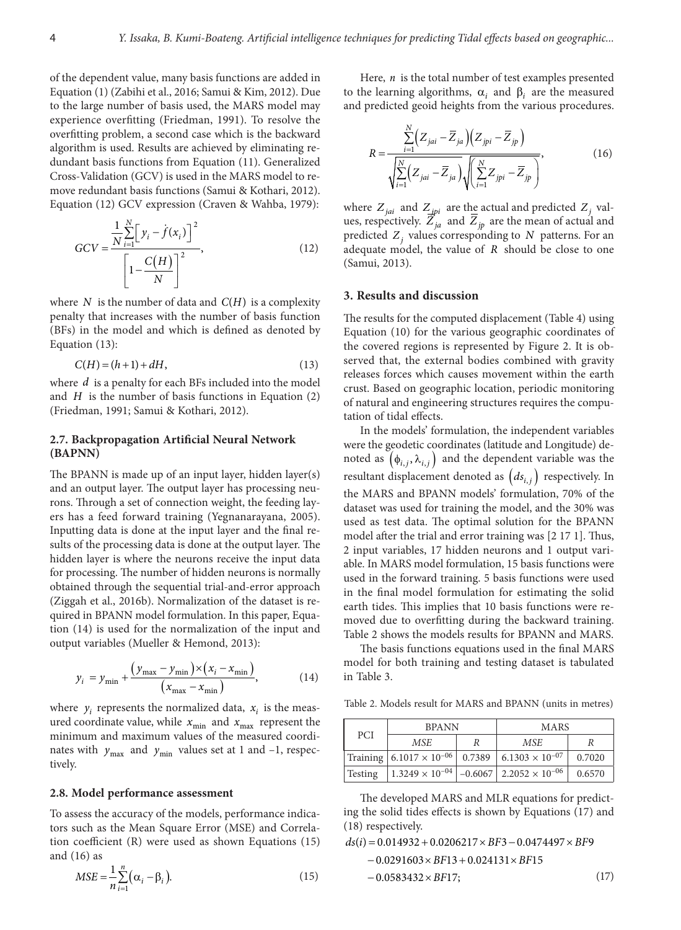of the dependent value, many basis functions are added in Equation (1) (Zabihi et al., 2016; Samui & Kim, 2012). Due to the large number of basis used, the MARS model may experience overfitting (Friedman, 1991). To resolve the overfitting problem, a second case which is the backward algorithm is used. Results are achieved by eliminating redundant basis functions from Equation (11). Generalized Cross-Validation (GCV) is used in the MARS model to remove redundant basis functions (Samui & Kothari, 2012). Equation (12) GCV expression (Craven & Wahba, 1979):

*N*

$$
GCV = \frac{\frac{1}{N} \sum_{i=1}^{N} \left[ y_i - \dot{f}(x_i) \right]^2}{\left[ 1 - \frac{C(H)}{N} \right]^2},\tag{12}
$$

where  $N$  is the number of data and  $C(H)$  is a complexity penalty that increases with the number of basis function (BFs) in the model and which is defined as denoted by Equation (13):

$$
C(H) = (h+1) + dH,
$$
\n(13)

where *d* is a penalty for each BFs included into the model and *H* is the number of basis functions in Equation (2) (Friedman, 1991; Samui & Kothari, 2012).

### **2.7. Backpropagation Artificial Neural Network (BAPNN)**

The BPANN is made up of an input layer, hidden layer(s) and an output layer. The output layer has processing neurons. Through a set of connection weight, the feeding layers has a feed forward training (Yegnanarayana, 2005). Inputting data is done at the input layer and the final results of the processing data is done at the output layer. The hidden layer is where the neurons receive the input data for processing. The number of hidden neurons is normally obtained through the sequential trial-and-error approach (Ziggah et al., 2016b). Normalization of the dataset is required in BPANN model formulation. In this paper, Equation (14) is used for the normalization of the input and output variables (Mueller & Hemond, 2013):

$$
y_{i} = y_{\min} + \frac{(y_{\max} - y_{\min}) \times (x_{i} - x_{\min})}{(x_{\max} - x_{\min})},
$$
(14)

where  $y_i$  represents the normalized data,  $x_i$  is the measured coordinate value, while  $x_{\min}$  and  $x_{\max}$  represent the minimum and maximum values of the measured coordinates with  $y_{\text{max}}$  and  $y_{\text{min}}$  values set at 1 and –1, respectively.

#### **2.8. Model performance assessment**

To assess the accuracy of the models, performance indicators such as the Mean Square Error (MSE) and Correlation coefficient (R) were used as shown Equations (15) and (16) as

$$
MSE = \frac{1}{n} \sum_{i=1}^{n} (\alpha_i - \beta_i).
$$
 (15)

Here, *n* is the total number of test examples presented to the learning algorithms,  $\alpha_i$  and  $\beta_i$  are the measured and predicted geoid heights from the various procedures.

$$
R = \frac{\sum_{i=1}^{N} (Z_{jai} - \overline{Z}_{ja}) (Z_{jpi} - \overline{Z}_{jp})}{\sqrt{\sum_{i=1}^{N} (Z_{jai} - \overline{Z}_{ja})} \sqrt{\sum_{i=1}^{N} Z_{jpi} - \overline{Z}_{jp}}},
$$
(16)

where  $Z_{jai}$  and  $Z_{jpi}$  are the actual and predicted  $Z_j$  values, respectively.  $Z_{ja}$  and  $Z_{jp}$  are the mean of actual and predicted *Zj* values corresponding to *N* patterns. For an adequate model, the value of *R* should be close to one (Samui, 2013).

# **3. Results and discussion**

The results for the computed displacement (Table 4) using Equation (10) for the various geographic coordinates of the covered regions is represented by Figure 2. It is observed that, the external bodies combined with gravity releases forces which causes movement within the earth crust. Based on geographic location, periodic monitoring of natural and engineering structures requires the computation of tidal effects.

In the models' formulation, the independent variables were the geodetic coordinates (latitude and Longitude) denoted as  $(\phi_{i,j}, \lambda_{i,j})$  and the dependent variable was the resultant displacement denoted as  $(ds_{i,j})$  respectively. In the MARS and BPANN models' formulation, 70% of the dataset was used for training the model, and the 30% was used as test data. The optimal solution for the BPANN model after the trial and error training was [2 17 1]. Thus, 2 input variables, 17 hidden neurons and 1 output variable. In MARS model formulation, 15 basis functions were used in the forward training. 5 basis functions were used in the final model formulation for estimating the solid earth tides. This implies that 10 basis functions were removed due to overfitting during the backward training. Table 2 shows the models results for BPANN and MARS.

The basis functions equations used in the final MARS model for both training and testing dataset is tabulated in Table 3.

Table 2. Models result for MARS and BPANN (units in metres)

| <b>PCI</b> | <b>BPANN</b>                        |  | <b>MARS</b>                                               |        |
|------------|-------------------------------------|--|-----------------------------------------------------------|--------|
|            | MSE.                                |  | <b>MSE</b>                                                |        |
|            | Training $ 6.1017 \times 10^{-06} $ |  | $0.7389$ 6.1303 × 10 <sup>-07</sup>                       | 0.7020 |
| Testing    |                                     |  | $1.3249 \times 10^{-04}$ -0.6067 2.2052 $\times 10^{-06}$ | 0.6570 |

The developed MARS and MLR equations for predicting the solid tides effects is shown by Equations (17) and (18) respectively.

$$
ds(i) = 0.014932 + 0.0206217 \times BF3 - 0.0474497 \times BF9
$$
  
- 0.0291603 \times BF13 + 0.024131 \times BF15  
- 0.0583432 \times BF17; (17)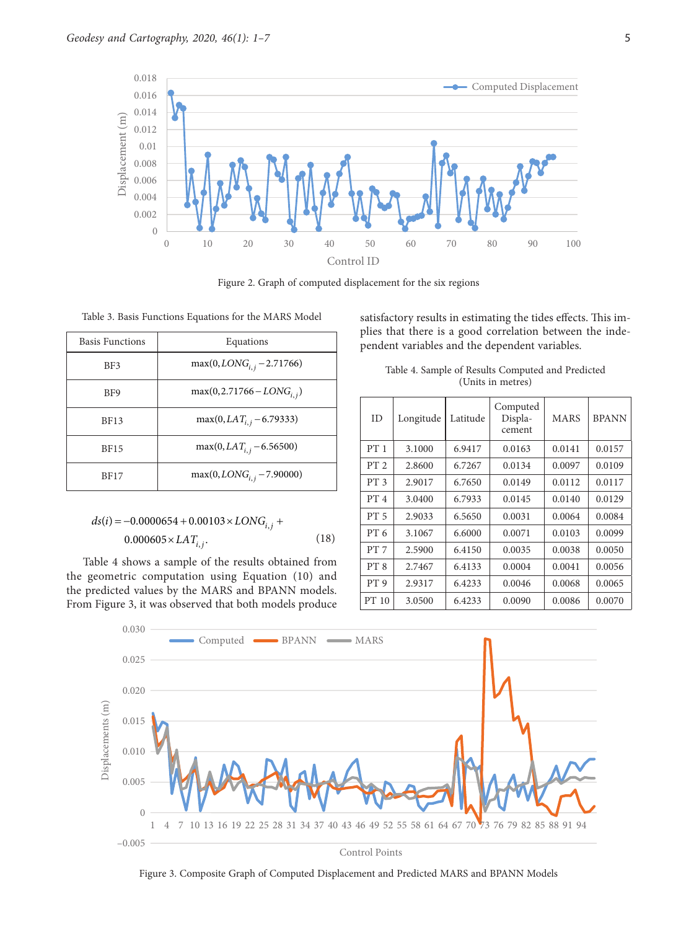

Figure 2. Graph of computed displacement for the six regions

| <b>Basis Functions</b> | Equations                      |
|------------------------|--------------------------------|
| BF3                    | $max(0, LONGi, i - 2.71766)$   |
| B <sub>F9</sub>        | $max(0, 2.71766 - LONG_{i,j})$ |
| <b>BF13</b>            | $max(0, LAT_{i,i} - 6.79333)$  |
| <b>BF15</b>            | $max(0, LAT_{i,i} - 6.56500)$  |
| <b>BF17</b>            | $max(0, LONGi, i - 7.90000)$   |

$$
ds(i) = -0.0000654 + 0.00103 \times LONG_{i,j} + 0.000605 \times LAT_{i,j}.
$$
\n(18)

Table 4 shows a sample of the results obtained from the geometric computation using Equation (10) and the predicted values by the MARS and BPANN models. From Figure 3, it was observed that both models produce satisfactory results in estimating the tides effects. This implies that there is a good correlation between the independent variables and the dependent variables.

| Table 4. Sample of Results Computed and Predicted |  |  |
|---------------------------------------------------|--|--|
| (Units in metres)                                 |  |  |

| ID              | Longitude | Latitude | Computed<br>Displa-<br>cement | <b>MARS</b> | <b>BPANN</b> |
|-----------------|-----------|----------|-------------------------------|-------------|--------------|
| PT1             | 3.1000    | 6.9417   | 0.0163                        | 0.0141      | 0.0157       |
| PT <sub>2</sub> | 2.8600    | 6.7267   | 0.0134                        | 0.0097      | 0.0109       |
| PT <sub>3</sub> | 2.9017    | 6.7650   | 0.0149                        | 0.0112      | 0.0117       |
| PT 4            | 3.0400    | 6.7933   | 0.0145                        | 0.0140      | 0.0129       |
| PT <sub>5</sub> | 2.9033    | 6.5650   | 0.0031                        | 0.0064      | 0.0084       |
| PT <sub>6</sub> | 3.1067    | 6.6000   | 0.0071                        | 0.0103      | 0.0099       |
| PT 7            | 2.5900    | 6.4150   | 0.0035                        | 0.0038      | 0.0050       |
| PT <sub>8</sub> | 2.7467    | 6.4133   | 0.0004                        | 0.0041      | 0.0056       |
| PT 9            | 2.9317    | 6.4233   | 0.0046                        | 0.0068      | 0.0065       |
| PT 10           | 3.0500    | 6.4233   | 0.0090                        | 0.0086      | 0.0070       |



Figure 3. Composite Graph of Computed Displacement and Predicted MARS and BPANN Models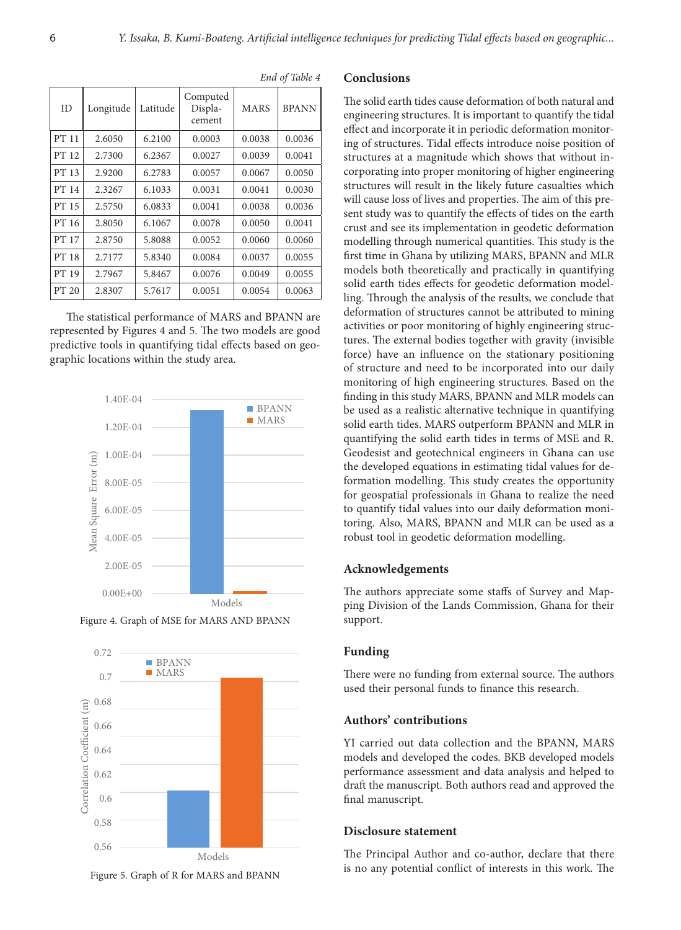| <b>ID</b> | Longitude | Latitude | Computed<br>Displa-<br>cement | <b>MARS</b> | <b>BPANN</b> |
|-----------|-----------|----------|-------------------------------|-------------|--------------|
| PT 11     | 2.6050    | 6.2100   | 0.0003                        | 0.0038      | 0.0036       |
| PT 12     | 2.7300    | 6.2367   | 0.0027                        | 0.0039      | 0.0041       |
| PT 13     | 2.9200    | 6.2783   | 0.0057                        | 0.0067      | 0.0050       |
| PT 14     | 2.3267    | 6.1033   | 0.0031                        | 0.0041      | 0.0030       |
| PT 15     | 2.5750    | 6.0833   | 0.0041                        | 0.0038      | 0.0036       |
| PT 16     | 2.8050    | 6.1067   | 0.0078                        | 0.0050      | 0.0041       |
| PT 17     | 2.8750    | 5.8088   | 0.0052                        | 0.0060      | 0.0060       |
| PT 18     | 2.7177    | 5.8340   | 0.0084                        | 0.0037      | 0.0055       |
| PT 19     | 2.7967    | 5.8467   | 0.0076                        | 0.0049      | 0.0055       |
| PT 20     | 2.8307    | 5.7617   | 0.0051                        | 0.0054      | 0.0063       |

*End of Table 4*

The statistical performance of MARS and BPANN are represented by Figures 4 and 5. The two models are good predictive tools in quantifying tidal effects based on geographic locations within the study area.







Figure 5. Graph of R for MARS and BPANN

# **Conclusions**

The solid earth tides cause deformation of both natural and engineering structures. It is important to quantify the tidal effect and incorporate it in periodic deformation monitoring of structures. Tidal effects introduce noise position of structures at a magnitude which shows that without incorporating into proper monitoring of higher engineering structures will result in the likely future casualties which will cause loss of lives and properties. The aim of this present study was to quantify the effects of tides on the earth crust and see its implementation in geodetic deformation modelling through numerical quantities. This study is the first time in Ghana by utilizing MARS, BPANN and MLR models both theoretically and practically in quantifying solid earth tides effects for geodetic deformation modelling. Through the analysis of the results, we conclude that deformation of structures cannot be attributed to mining activities or poor monitoring of highly engineering structures. The external bodies together with gravity (invisible force) have an influence on the stationary positioning of structure and need to be incorporated into our daily monitoring of high engineering structures. Based on the finding in this study MARS, BPANN and MLR models can be used as a realistic alternative technique in quantifying solid earth tides. MARS outperform BPANN and MLR in quantifying the solid earth tides in terms of MSE and R. Geodesist and geotechnical engineers in Ghana can use the developed equations in estimating tidal values for deformation modelling. This study creates the opportunity for geospatial professionals in Ghana to realize the need to quantify tidal values into our daily deformation monitoring. Also, MARS, BPANN and MLR can be used as a robust tool in geodetic deformation modelling.

### **Acknowledgements**

The authors appreciate some staffs of Survey and Mapping Division of the Lands Commission, Ghana for their support.

### **Funding**

There were no funding from external source. The authors used their personal funds to finance this research.

# **Authors' contributions**

YI carried out data collection and the BPANN, MARS models and developed the codes. BKB developed models performance assessment and data analysis and helped to draft the manuscript. Both authors read and approved the final manuscript.

# **Disclosure statement**

The Principal Author and co-author, declare that there is no any potential conflict of interests in this work. The